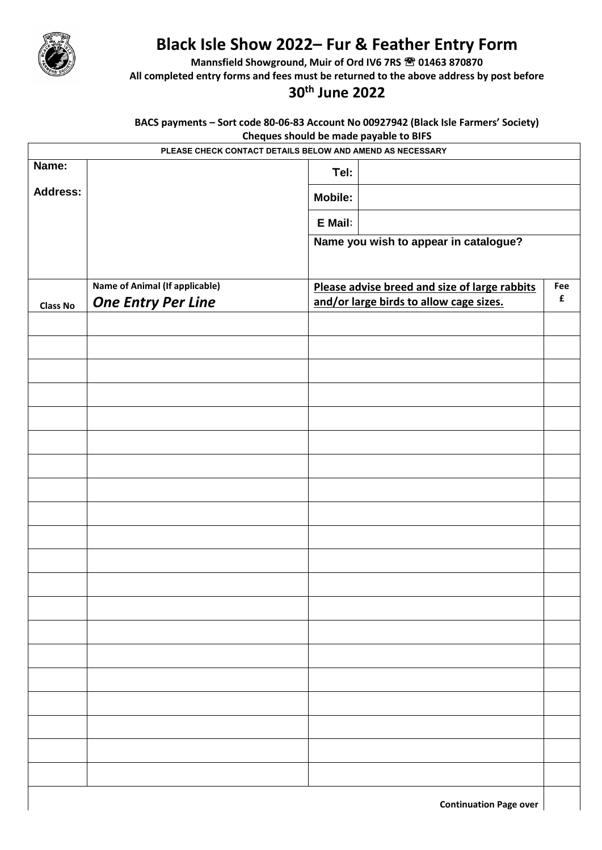

## **Black Isle Show 2022– Fur & Feather Entry Form**

**Mannsfield Showground, Muir of Ord IV6 7RS <sup>®</sup> 01463 870870** 

**All completed entry forms and fees must be returned to the above address by post before**

## **30th June 2022**

**BACS payments – Sort code 80-06-83 Account No 00927942 (Black Isle Farmers' Society) Cheques should be made payable to BIFS**

| - - - - -<br>. <b>.</b> . <b>.</b> .<br>PLEASE CHECK CONTACT DETAILS BELOW AND AMEND AS NECESSARY |                                       |                                                                                          |                                       |                           |  |  |  |  |
|---------------------------------------------------------------------------------------------------|---------------------------------------|------------------------------------------------------------------------------------------|---------------------------------------|---------------------------|--|--|--|--|
| Name:                                                                                             |                                       | Tel:                                                                                     |                                       |                           |  |  |  |  |
| <b>Address:</b>                                                                                   |                                       | <b>Mobile:</b>                                                                           |                                       |                           |  |  |  |  |
|                                                                                                   |                                       | E Mail:                                                                                  |                                       |                           |  |  |  |  |
|                                                                                                   |                                       |                                                                                          | Name you wish to appear in catalogue? |                           |  |  |  |  |
|                                                                                                   |                                       |                                                                                          |                                       |                           |  |  |  |  |
|                                                                                                   | <b>Name of Animal (If applicable)</b> | Please advise breed and size of large rabbits<br>and/or large birds to allow cage sizes. |                                       | Fee<br>$\pmb{\mathsf{f}}$ |  |  |  |  |
| <b>Class No</b>                                                                                   | <b>One Entry Per Line</b>             |                                                                                          |                                       |                           |  |  |  |  |
|                                                                                                   |                                       |                                                                                          |                                       |                           |  |  |  |  |
|                                                                                                   |                                       |                                                                                          |                                       |                           |  |  |  |  |
|                                                                                                   |                                       |                                                                                          |                                       |                           |  |  |  |  |
|                                                                                                   |                                       |                                                                                          |                                       |                           |  |  |  |  |
|                                                                                                   |                                       |                                                                                          |                                       |                           |  |  |  |  |
|                                                                                                   |                                       |                                                                                          |                                       |                           |  |  |  |  |
|                                                                                                   |                                       |                                                                                          |                                       |                           |  |  |  |  |
|                                                                                                   |                                       |                                                                                          |                                       |                           |  |  |  |  |
|                                                                                                   |                                       |                                                                                          |                                       |                           |  |  |  |  |
|                                                                                                   |                                       |                                                                                          |                                       |                           |  |  |  |  |
|                                                                                                   |                                       |                                                                                          |                                       |                           |  |  |  |  |
|                                                                                                   |                                       |                                                                                          |                                       |                           |  |  |  |  |
|                                                                                                   |                                       |                                                                                          |                                       |                           |  |  |  |  |
|                                                                                                   |                                       |                                                                                          |                                       |                           |  |  |  |  |
|                                                                                                   |                                       |                                                                                          |                                       |                           |  |  |  |  |
|                                                                                                   |                                       |                                                                                          |                                       |                           |  |  |  |  |
|                                                                                                   |                                       |                                                                                          |                                       |                           |  |  |  |  |
|                                                                                                   |                                       |                                                                                          |                                       |                           |  |  |  |  |
|                                                                                                   |                                       |                                                                                          |                                       |                           |  |  |  |  |
|                                                                                                   |                                       |                                                                                          |                                       |                           |  |  |  |  |
| <b>Continuation Page over</b>                                                                     |                                       |                                                                                          |                                       |                           |  |  |  |  |